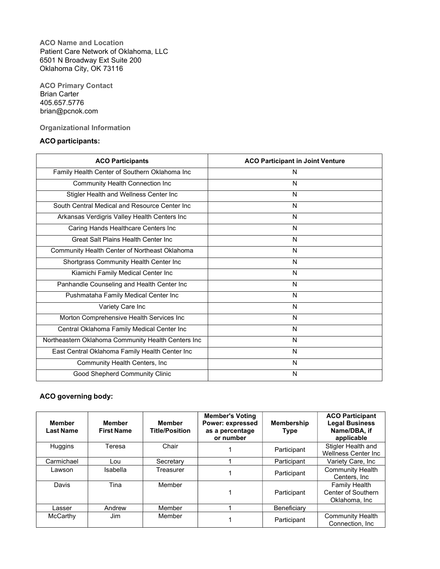ACO Name and Location Patient Care Network of Oklahoma, LLC 6501 N Broadway Ext Suite 200 Oklahoma City, OK 73116

ACO Primary Contact Brian Carter 405.657.5776 brian@pcnok.com

Organizational Information

# ACO participants:

| <b>ACO Participants</b>                            | <b>ACO Participant in Joint Venture</b> |
|----------------------------------------------------|-----------------------------------------|
| Family Health Center of Southern Oklahoma Inc      | N                                       |
| Community Health Connection Inc                    | N                                       |
| Stigler Health and Wellness Center Inc             | N                                       |
| South Central Medical and Resource Center Inc      | N                                       |
| Arkansas Verdigris Valley Health Centers Inc       | N                                       |
| Caring Hands Healthcare Centers Inc                | N                                       |
| Great Salt Plains Health Center Inc.               | N                                       |
| Community Health Center of Northeast Oklahoma      | N                                       |
| Shortgrass Community Health Center Inc             | N                                       |
| Kiamichi Family Medical Center Inc                 | N                                       |
| Panhandle Counseling and Health Center Inc         | N                                       |
| Pushmataha Family Medical Center Inc               | N                                       |
| Variety Care Inc                                   | N                                       |
| Morton Comprehensive Health Services Inc           | N                                       |
| Central Oklahoma Family Medical Center Inc         | N                                       |
| Northeastern Oklahoma Community Health Centers Inc | N                                       |
| East Central Oklahoma Family Health Center Inc     | N                                       |
| Community Health Centers, Inc                      | N                                       |
| Good Shepherd Community Clinic                     | N                                       |

# ACO governing body:

| <b>Member</b><br><b>Last Name</b> | <b>Member</b><br><b>First Name</b> | Member<br><b>Title/Position</b> | <b>Member's Voting</b><br>Power: expressed<br>as a percentage<br>or number | <b>Membership</b><br><b>Type</b> | <b>ACO Participant</b><br><b>Legal Business</b><br>Name/DBA, if<br>applicable |
|-----------------------------------|------------------------------------|---------------------------------|----------------------------------------------------------------------------|----------------------------------|-------------------------------------------------------------------------------|
| <b>Huggins</b>                    | Teresa                             | Chair                           |                                                                            | Participant                      | Stigler Health and<br><b>Wellness Center Inc.</b>                             |
| Carmichael                        | Lou                                | Secretary                       |                                                                            | Participant                      | Variety Care, Inc                                                             |
| Lawson                            | <b>Isabella</b>                    | Treasurer                       |                                                                            | Participant                      | <b>Community Health</b><br>Centers, Inc.                                      |
| Davis                             | Tina                               | Member                          |                                                                            | Participant                      | <b>Family Health</b><br>Center of Southern<br>Oklahoma, Inc.                  |
| Lasser                            | Andrew                             | Member                          |                                                                            | Beneficiary                      |                                                                               |
| McCarthy                          | Jim                                | Member                          |                                                                            | Participant                      | <b>Community Health</b><br>Connection, Inc.                                   |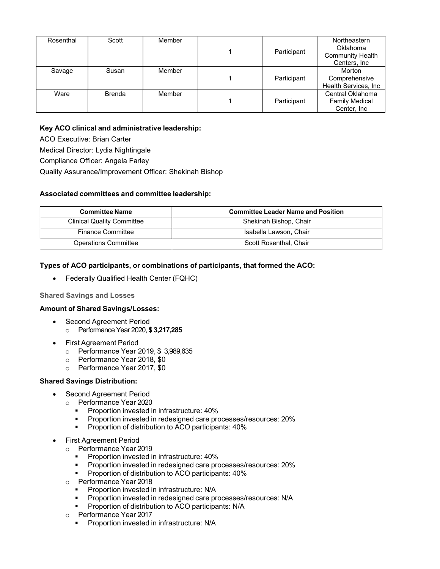| Rosenthal | Scott         | Member | Participant | Northeastern<br>Oklahoma<br><b>Community Health</b><br>Centers, Inc. |
|-----------|---------------|--------|-------------|----------------------------------------------------------------------|
| Savage    | Susan         | Member | Participant | Morton<br>Comprehensive<br>Health Services, Inc.                     |
| Ware      | <b>Brenda</b> | Member | Participant | Central Oklahoma<br><b>Family Medical</b><br>Center, Inc.            |

### Key ACO clinical and administrative leadership:

ACO Executive: Brian Carter

Medical Director: Lydia Nightingale

Compliance Officer: Angela Farley

Quality Assurance/Improvement Officer: Shekinah Bishop

#### Associated committees and committee leadership:

| <b>Committee Name</b>             | <b>Committee Leader Name and Position</b> |
|-----------------------------------|-------------------------------------------|
| <b>Clinical Quality Committee</b> | Shekinah Bishop, Chair                    |
| <b>Finance Committee</b>          | Isabella Lawson, Chair                    |
| <b>Operations Committee</b>       | Scott Rosenthal, Chair                    |

### Types of ACO participants, or combinations of participants, that formed the ACO:

Federally Qualified Health Center (FQHC)

#### Shared Savings and Losses

#### Amount of Shared Savings/Losses:

- Second Agreement Period o Performance Year 2020, \$ 3,217,285
- First Agreement Period
	- o Performance Year 2019, \$ 3,989,635
	- o Performance Year 2018, \$0
	- o Performance Year 2017, \$0

#### Shared Savings Distribution:

- Second Agreement Period
	- o Performance Year 2020
		- **Proportion invested in infrastructure: 40%**
		- **Proportion invested in redesigned care processes/resources: 20%**
		- **Proportion of distribution to ACO participants: 40%**
- First Agreement Period
	- o Performance Year 2019
		- **Proportion invested in infrastructure: 40%**
		- Proportion invested in redesigned care processes/resources: 20%
		- **Proportion of distribution to ACO participants: 40%**
	- o Performance Year 2018
		-
		- **Proportion invested in infrastructure: N/A**<br>**Proportion invested in redesigned care proportion** Proportion invested in redesigned care processes/resources: N/A
		- **Proportion of distribution to ACO participants: N/A**
	- o Performance Year 2017
		- **Proportion invested in infrastructure: N/A**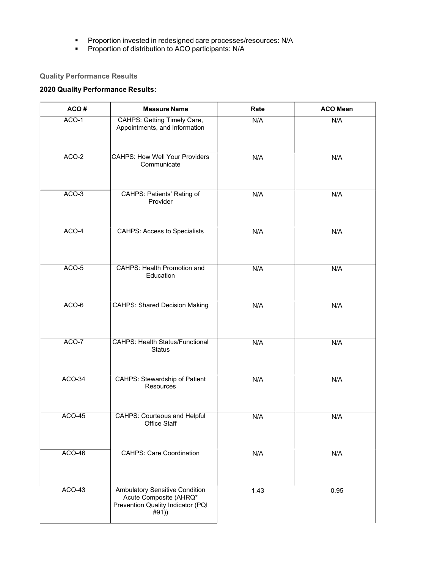- **Proportion invested in redesigned care processes/resources: N/A**
- **Proportion of distribution to ACO participants: N/A**

# Quality Performance Results

# 2020 Quality Performance Results:

| ACO#    | <b>Measure Name</b>                                                                                   | Rate | <b>ACO Mean</b> |
|---------|-------------------------------------------------------------------------------------------------------|------|-----------------|
| ACO-1   | CAHPS: Getting Timely Care,<br>Appointments, and Information                                          | N/A  | N/A             |
| $ACO-2$ | <b>CAHPS: How Well Your Providers</b><br>Communicate                                                  | N/A  | N/A             |
| ACO-3   | CAHPS: Patients' Rating of<br>Provider                                                                | N/A  | N/A             |
| $ACO-4$ | <b>CAHPS: Access to Specialists</b>                                                                   | N/A  | N/A             |
| ACO-5   | <b>CAHPS: Health Promotion and</b><br>Education                                                       | N/A  | N/A             |
| ACO-6   | <b>CAHPS: Shared Decision Making</b>                                                                  | N/A  | N/A             |
| ACO-7   | <b>CAHPS: Health Status/Functional</b><br><b>Status</b>                                               | N/A  | N/A             |
| ACO-34  | <b>CAHPS: Stewardship of Patient</b><br>Resources                                                     | N/A  | N/A             |
| ACO-45  | <b>CAHPS: Courteous and Helpful</b><br>Office Staff                                                   | N/A  | N/A             |
| ACO-46  | <b>CAHPS: Care Coordination</b>                                                                       | N/A  | N/A             |
| ACO-43  | Ambulatory Sensitive Condition<br>Acute Composite (AHRQ*<br>Prevention Quality Indicator (PQI<br>#91) | 1.43 | 0.95            |